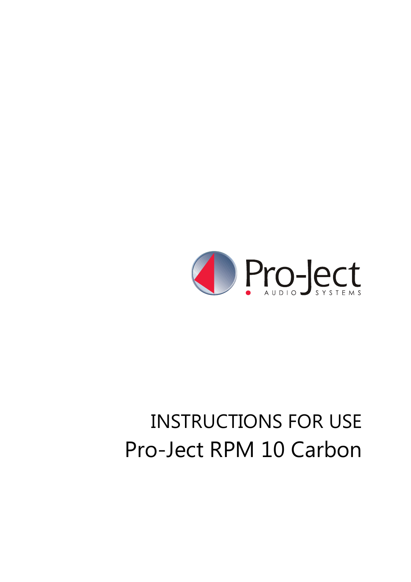

# INSTRUCTIONS FOR USE Pro-Ject RPM 10 Carbon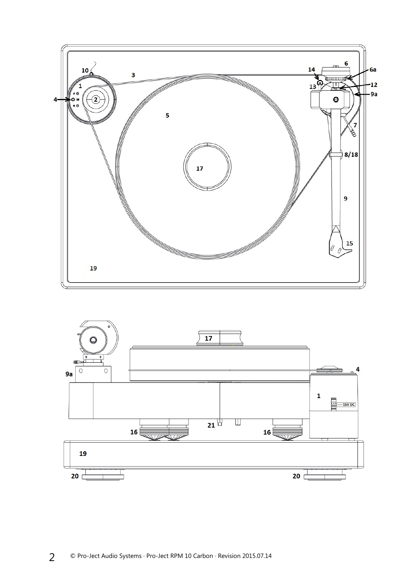

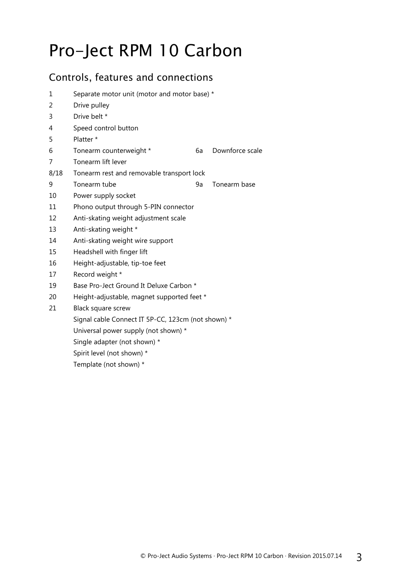## Pro-Ject RPM 10 Carbon

## Controls, features and connections

- 1 Separate motor unit (motor and motor base) \*
- 2 Drive pulley
- 3 Drive belt \*
- 4 Speed control button
- 5 Platter \*
- 6 Tonearm counterweight \* 6a Downforce scale
- 7 Tonearm lift lever
- 8/18 Tonearm rest and removable transport lock
- 9 Tonearm tube 9a Tonearm base
- 10 Power supply socket
- 11 Phono output through 5-PIN connector
- 12 Anti-skating weight adjustment scale
- 13 Anti-skating weight \*
- 14 Anti-skating weight wire support
- 15 Headshell with finger lift
- 16 Height-adjustable, tip-toe feet
- 17 Record weight \*
- 19 Base Pro-Ject Ground It Deluxe Carbon \*
- 20 Height-adjustable, magnet supported feet \*

#### 21 Black square screw

- Signal cable Connect IT 5P-CC, 123cm (not shown) \*
- Universal power supply (not shown) \*
- Single adapter (not shown) \*
- Spirit level (not shown) \*
- Template (not shown) \*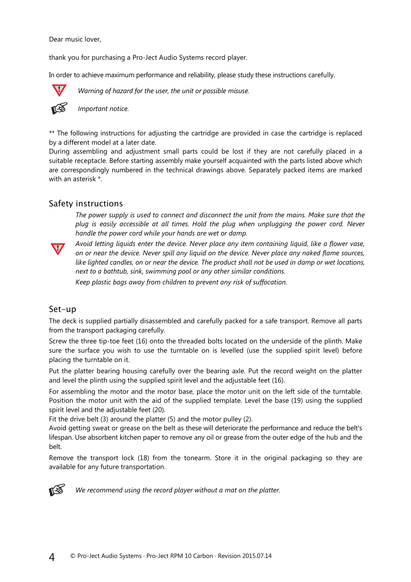Dear music lover,

thank you for purchasing a Pro-Ject Audio Systems record player.

In order to achieve maximum performance and reliability, please study these instructions carefully.



**!** *Warning of hazard for the user, the unit or possible misuse.* 



*Important notice.* 

\*\* The following instructions for adjusting the cartridge are provided in case the cartridge is replaced by a different model at a later date.

During assembling and adjustment small parts could be lost if they are not carefully placed in a suitable receptacle. Before starting assembly make yourself acquainted with the parts listed above which are correspondingly numbered in the technical drawings above. Separately packed items are marked with an asterisk \*.

## Safety instructions

*The power supply is used to connect and disconnect the unit from the mains. Make sure that the plug is easily accessible at all times. Hold the plug when unplugging the power cord. Never handle the power cord while your hands are wet or damp.* 



*Avoid letting liquids enter the device. Never place any item containing liquid, like a flower vase, on or near the device. Never spill any liquid on the device. Never place any naked flame sources, like lighted candles, on or near the device. The product shall not be used in damp or wet locations, next to a bathtub, sink, swimming pool or any other similar conditions.* 

*Keep plastic bags away from children to prevent any risk of suffocation.* 

## Set-up

The deck is supplied partially disassembled and carefully packed for a safe transport. Remove all parts from the transport packaging carefully.

Screw the three tip-toe feet (16) onto the threaded bolts located on the underside of the plinth. Make sure the surface you wish to use the turntable on is levelled (use the supplied spirit level) before placing the turntable on it.

Put the platter bearing housing carefully over the bearing axle. Put the record weight on the platter and level the plinth using the supplied spirit level and the adjustable feet (16).

For assembling the motor and the motor base, place the motor unit on the left side of the turntable. Position the motor unit with the aid of the supplied template. Level the base (19) using the supplied spirit level and the adjustable feet (20).

Fit the drive belt (3) around the platter (5) and the motor pulley (2).

Avoid getting sweat or grease on the belt as these will deteriorate the performance and reduce the belt's lifespan. Use absorbent kitchen paper to remove any oil or grease from the outer edge of the hub and the belt.

Remove the transport lock (18) from the tonearm. Store it in the original packaging so they are available for any future transportation.



*We recommend using the record player without a mat on the platter.*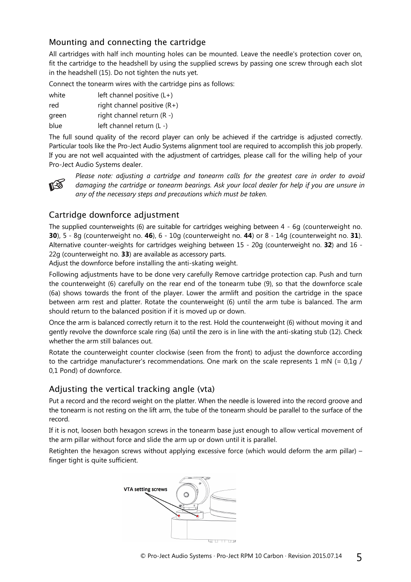## Mounting and connecting the cartridge

All cartridges with half inch mounting holes can be mounted. Leave the needle's protection cover on, fit the cartridge to the headshell by using the supplied screws by passing one screw through each slot in the headshell (15). Do not tighten the nuts yet.

Connect the tonearm wires with the cartridge pins as follows:

white  $\qquad$  left channel positive  $(L+)$ red  $right channel positive (R+)$ green right channel return (R -) blue left channel return (L -)

The full sound quality of the record player can only be achieved if the cartridge is adjusted correctly. Particular tools like the Pro-Ject Audio Systems alignment tool are required to accomplish this job properly. If you are not well acquainted with the adjustment of cartridges, please call for the willing help of your Pro-Ject Audio Systems dealer.



*Please note: adjusting a cartridge and tonearm calls for the greatest care in order to avoid damaging the cartridge or tonearm bearings. Ask your local dealer for help if you are unsure in any of the necessary steps and precautions which must be taken.* 

## Cartridge downforce adjustment

The supplied counterweights (6) are suitable for cartridges weighing between 4 - 6g (counterweight no. **30**), 5 - 8g (counterweight no. **46**), 6 - 10g (counterweight no. **44**) or 8 - 14g (counterweight no. **31**). Alternative counter-weights for cartridges weighing between 15 - 20g (counterweight no. **32**) and 16 - 22g (counterweight no. **33**) are available as accessory parts.

Adjust the downforce before installing the anti-skating weight.

Following adjustments have to be done very carefully Remove cartridge protection cap. Push and turn the counterweight (6) carefully on the rear end of the tonearm tube (9), so that the downforce scale (6a) shows towards the front of the player. Lower the armlift and position the cartridge in the space between arm rest and platter. Rotate the counterweight (6) until the arm tube is balanced. The arm should return to the balanced position if it is moved up or down.

Once the arm is balanced correctly return it to the rest. Hold the counterweight (6) without moving it and gently revolve the downforce scale ring (6a) until the zero is in line with the anti-skating stub (12). Check whether the arm still balances out.

Rotate the counterweight counter clockwise (seen from the front) to adjust the downforce according to the cartridge manufacturer's recommendations. One mark on the scale represents 1 mN (= 0,1g / 0,1 Pond) of downforce.

## Adjusting the vertical tracking angle (vta)

Put a record and the record weight on the platter. When the needle is lowered into the record groove and the tonearm is not resting on the lift arm, the tube of the tonearm should be parallel to the surface of the record.

If it is not, loosen both hexagon screws in the tonearm base just enough to allow vertical movement of the arm pillar without force and slide the arm up or down until it is parallel.

Retighten the hexagon screws without applying excessive force (which would deform the arm pillar) – finger tight is quite sufficient.

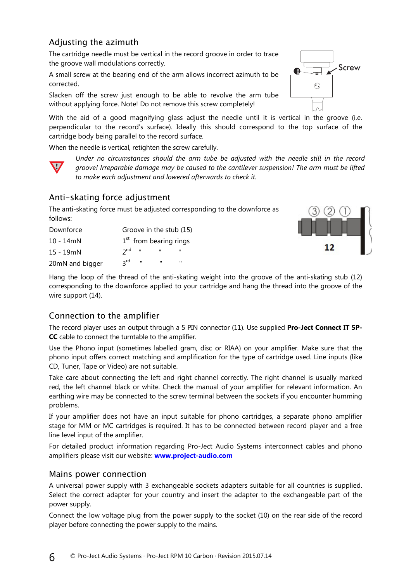## Adjusting the azimuth

The cartridge needle must be vertical in the record groove in order to trace the groove wall modulations correctly.

A small screw at the bearing end of the arm allows incorrect azimuth to be corrected.

Slacken off the screw just enough to be able to revolve the arm tube without applying force. Note! Do not remove this screw completely!

With the aid of a good magnifying glass adjust the needle until it is vertical in the groove (i.e. perpendicular to the record's surface). Ideally this should correspond to the top surface of the cartridge body being parallel to the record surface.

When the needle is vertical, retighten the screw carefully.



*Under no circumstances should the arm tube be adjusted with the needle still in the record groove! Irreparable damage may be caused to the cantilever suspension! The arm must be lifted to make each adjustment and lowered afterwards to check it.* 

## Anti-skating force adjustment

The anti-skating force must be adjusted corresponding to the downforce as follows:

| Downforce       | Groove in the stub (15) |            |                               |                          |
|-----------------|-------------------------|------------|-------------------------------|--------------------------|
| $10 - 14$ mN    |                         |            |                               | $1st$ from bearing rings |
| 15 - 19mN       |                         | $2^{nd}$ " | $\sim$ 11                     |                          |
| 20mN and bigger | a <sub>rd</sub> "       |            | <b>Contract Contract Inc.</b> | $\mathbf{u}$             |



Hang the loop of the thread of the anti-skating weight into the groove of the anti-skating stub (12) corresponding to the downforce applied to your cartridge and hang the thread into the groove of the wire support (14).

## Connection to the amplifier

The record player uses an output through a 5 PIN connector (11). Use supplied **Pro-Ject Connect IT 5P-CC** cable to connect the turntable to the amplifier.

Use the Phono input (sometimes labelled gram, disc or RIAA) on your amplifier. Make sure that the phono input offers correct matching and amplification for the type of cartridge used. Line inputs (like CD, Tuner, Tape or Video) are not suitable.

Take care about connecting the left and right channel correctly. The right channel is usually marked red, the left channel black or white. Check the manual of your amplifier for relevant information. An earthing wire may be connected to the screw terminal between the sockets if you encounter humming problems.

If your amplifier does not have an input suitable for phono cartridges, a separate phono amplifier stage for MM or MC cartridges is required. It has to be connected between record player and a free line level input of the amplifier.

For detailed product information regarding Pro-Ject Audio Systems interconnect cables and phono amplifiers please visit our website: **www.project-audio.com**

#### Mains power connection

A universal power supply with 3 exchangeable sockets adapters suitable for all countries is supplied. Select the correct adapter for your country and insert the adapter to the exchangeable part of the power supply.

Connect the low voltage plug from the power supply to the socket (10) on the rear side of the record player before connecting the power supply to the mains.

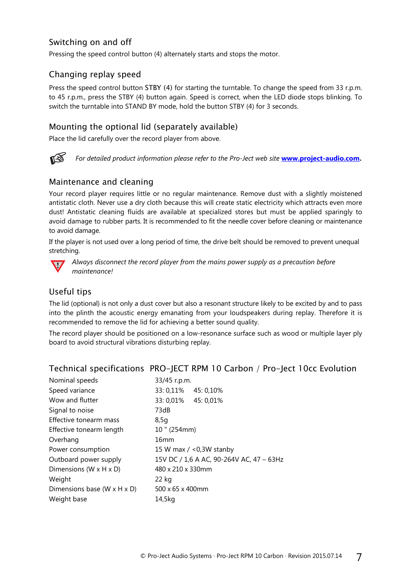## Switching on and off

Pressing the speed control button (4) alternately starts and stops the motor.

## Changing replay speed

Press the speed control button STBY (4) for starting the turntable. To change the speed from 33 r.p.m. to 45 r.p.m., press the STBY (4) button again. Speed is correct, when the LED diode stops blinking. To switch the turntable into STAND BY mode, hold the button STBY (4) for 3 seconds.

## Mounting the optional lid (separately available)

Place the lid carefully over the record player from above.



*For detailed product information please refer to the Pro-Ject web site* **www.project-audio.com.**

#### Maintenance and cleaning

Your record player requires little or no regular maintenance. Remove dust with a slightly moistened antistatic cloth. Never use a dry cloth because this will create static electricity which attracts even more dust! Antistatic cleaning fluids are available at specialized stores but must be applied sparingly to avoid damage to rubber parts. It is recommended to fit the needle cover before cleaning or maintenance to avoid damage.

If the player is not used over a long period of time, the drive belt should be removed to prevent unequal stretching.



*Always disconnect the record player from the mains power supply as a precaution before maintenance!* 

#### Useful tips

The lid (optional) is not only a dust cover but also a resonant structure likely to be excited by and to pass into the plinth the acoustic energy emanating from your loudspeakers during replay. Therefore it is recommended to remove the lid for achieving a better sound quality.

The record player should be positioned on a low-resonance surface such as wood or multiple layer ply board to avoid structural vibrations disturbing replay.

#### Technical specifications PRO-JECT RPM 10 Carbon / Pro-Ject 10cc Evolution

| 33/45 r.p.m.                             |  |  |
|------------------------------------------|--|--|
| 33: 0,11% 45: 0,10%                      |  |  |
| 33: 0,01% 45: 0,01%                      |  |  |
| 73dB                                     |  |  |
| 8,5q                                     |  |  |
| 10 " (254mm)                             |  |  |
| 16 <sub>mm</sub>                         |  |  |
| 15 W max / $<$ 0,3W stanby               |  |  |
| 15V DC / 1,6 A AC, 90-264V AC, 47 - 63Hz |  |  |
| 480 x 210 x 330mm                        |  |  |
| 22 kg                                    |  |  |
| 500 x 65 x 400mm                         |  |  |
| 14,5kg                                   |  |  |
|                                          |  |  |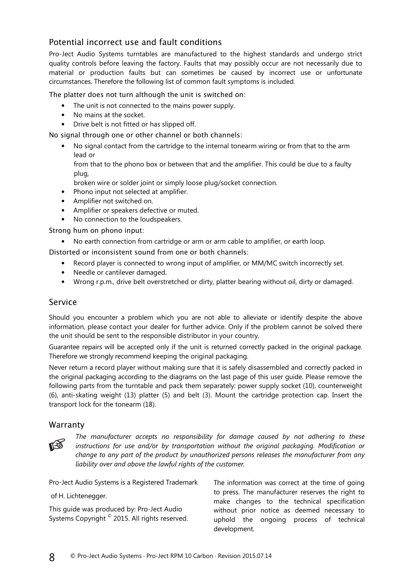## Potential incorrect use and fault conditions

Pro-Ject Audio Systems turntables are manufactured to the highest standards and undergo strict quality controls before leaving the factory. Faults that may possibly occur are not necessarily due to material or production faults but can sometimes be caused by incorrect use or unfortunate circumstances. Therefore the following list of common fault symptoms is included.

#### The platter does not turn although the unit is switched on:

- The unit is not connected to the mains power supply.
- No mains at the socket.
- Drive belt is not fitted or has slipped off.

No signal through one or other channel or both channels:

• No signal contact from the cartridge to the internal tonearm wiring or from that to the arm lead or

from that to the phono box or between that and the amplifier. This could be due to a faulty plug,

broken wire or solder joint or simply loose plug/socket connection.

- Phono input not selected at amplifier.
- Amplifier not switched on.
- Amplifier or speakers defective or muted.
- No connection to the loudspeakers.

Strong hum on phono input:

• No earth connection from cartridge or arm or arm cable to amplifier, or earth loop.

Distorted or inconsistent sound from one or both channels:

- Record player is connected to wrong input of amplifier, or MM/MC switch incorrectly set.
- Needle or cantilever damaged.
- Wrong r.p.m., drive belt overstretched or dirty, platter bearing without oil, dirty or damaged.

#### Service

Should you encounter a problem which you are not able to alleviate or identify despite the above information, please contact your dealer for further advice. Only if the problem cannot be solved there the unit should be sent to the responsible distributor in your country.

Guarantee repairs will be accepted only if the unit is returned correctly packed in the original package. Therefore we strongly recommend keeping the original packaging.

Never return a record player without making sure that it is safely disassembled and correctly packed in the original packaging according to the diagrams on the last page of this user guide. Please remove the following parts from the turntable and pack them separately: power supply socket (10), counterweight (6), anti-skating weight (13) platter (5) and belt (3). Mount the cartridge protection cap. Insert the transport lock for the tonearm (18).

#### Warranty



*The manufacturer accepts no responsibility for damage caused by not adhering to these instructions for use and/or by transportation without the original packaging. Modification or change to any part of the product by unauthorized persons releases the manufacturer from any liability over and above the lawful rights of the customer.* 

Pro-Ject Audio Systems is a Registered Trademark

of H. Lichtenegger.

This guide was produced by: Pro-Ject Audio Systems Copyright  $^\copyright$  2015. All rights reserved. The information was correct at the time of going to press. The manufacturer reserves the right to make changes to the technical specification without prior notice as deemed necessary to uphold the ongoing process of technical development.